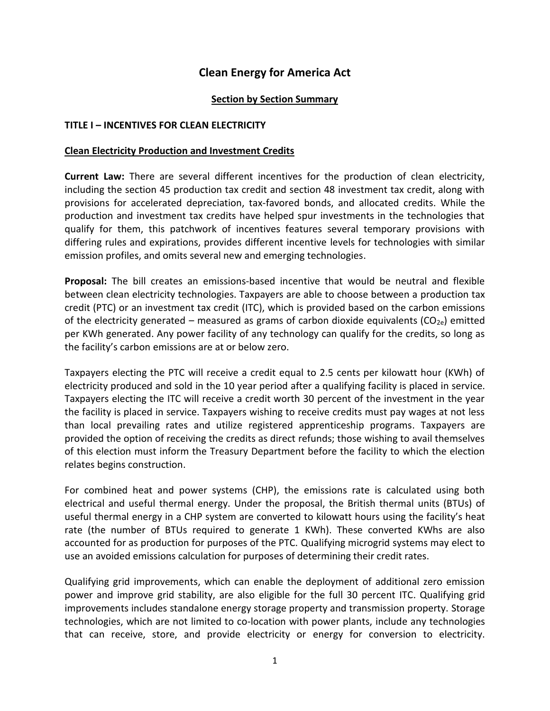# **Clean Energy for America Act**

### **Section by Section Summary**

#### **TITLE I – INCENTIVES FOR CLEAN ELECTRICITY**

#### **Clean Electricity Production and Investment Credits**

**Current Law:** There are several different incentives for the production of clean electricity, including the section 45 production tax credit and section 48 investment tax credit, along with provisions for accelerated depreciation, tax-favored bonds, and allocated credits. While the production and investment tax credits have helped spur investments in the technologies that qualify for them, this patchwork of incentives features several temporary provisions with differing rules and expirations, provides different incentive levels for technologies with similar emission profiles, and omits several new and emerging technologies.

**Proposal:** The bill creates an emissions-based incentive that would be neutral and flexible between clean electricity technologies. Taxpayers are able to choose between a production tax credit (PTC) or an investment tax credit (ITC), which is provided based on the carbon emissions of the electricity generated – measured as grams of carbon dioxide equivalents ( $CO<sub>2e</sub>$ ) emitted per KWh generated. Any power facility of any technology can qualify for the credits, so long as the facility's carbon emissions are at or below zero.

Taxpayers electing the PTC will receive a credit equal to 2.5 cents per kilowatt hour (KWh) of electricity produced and sold in the 10 year period after a qualifying facility is placed in service. Taxpayers electing the ITC will receive a credit worth 30 percent of the investment in the year the facility is placed in service. Taxpayers wishing to receive credits must pay wages at not less than local prevailing rates and utilize registered apprenticeship programs. Taxpayers are provided the option of receiving the credits as direct refunds; those wishing to avail themselves of this election must inform the Treasury Department before the facility to which the election relates begins construction.

For combined heat and power systems (CHP), the emissions rate is calculated using both electrical and useful thermal energy. Under the proposal, the British thermal units (BTUs) of useful thermal energy in a CHP system are converted to kilowatt hours using the facility's heat rate (the number of BTUs required to generate 1 KWh). These converted KWhs are also accounted for as production for purposes of the PTC. Qualifying microgrid systems may elect to use an avoided emissions calculation for purposes of determining their credit rates.

Qualifying grid improvements, which can enable the deployment of additional zero emission power and improve grid stability, are also eligible for the full 30 percent ITC. Qualifying grid improvements includes standalone energy storage property and transmission property. Storage technologies, which are not limited to co-location with power plants, include any technologies that can receive, store, and provide electricity or energy for conversion to electricity.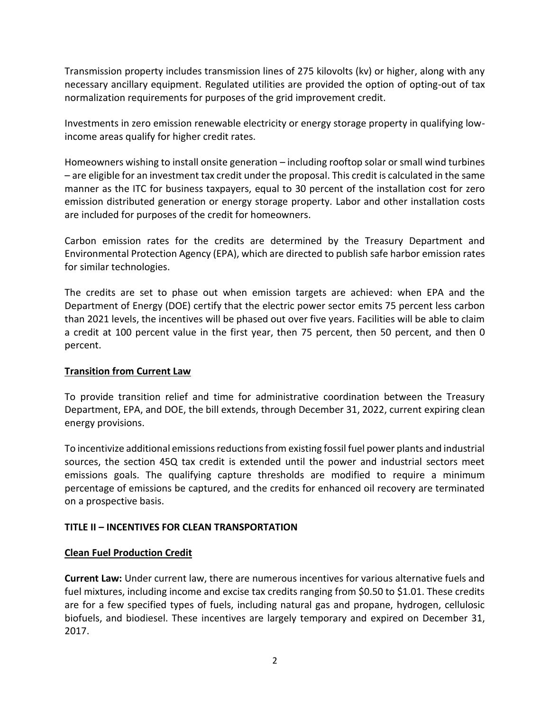Transmission property includes transmission lines of 275 kilovolts (kv) or higher, along with any necessary ancillary equipment. Regulated utilities are provided the option of opting-out of tax normalization requirements for purposes of the grid improvement credit.

Investments in zero emission renewable electricity or energy storage property in qualifying lowincome areas qualify for higher credit rates.

Homeowners wishing to install onsite generation – including rooftop solar or small wind turbines – are eligible for an investment tax credit under the proposal. This credit is calculated in the same manner as the ITC for business taxpayers, equal to 30 percent of the installation cost for zero emission distributed generation or energy storage property. Labor and other installation costs are included for purposes of the credit for homeowners.

Carbon emission rates for the credits are determined by the Treasury Department and Environmental Protection Agency (EPA), which are directed to publish safe harbor emission rates for similar technologies.

The credits are set to phase out when emission targets are achieved: when EPA and the Department of Energy (DOE) certify that the electric power sector emits 75 percent less carbon than 2021 levels, the incentives will be phased out over five years. Facilities will be able to claim a credit at 100 percent value in the first year, then 75 percent, then 50 percent, and then 0 percent.

## **Transition from Current Law**

To provide transition relief and time for administrative coordination between the Treasury Department, EPA, and DOE, the bill extends, through December 31, 2022, current expiring clean energy provisions.

To incentivize additional emissions reductions from existing fossil fuel power plants and industrial sources, the section 45Q tax credit is extended until the power and industrial sectors meet emissions goals. The qualifying capture thresholds are modified to require a minimum percentage of emissions be captured, and the credits for enhanced oil recovery are terminated on a prospective basis.

### **TITLE II – INCENTIVES FOR CLEAN TRANSPORTATION**

### **Clean Fuel Production Credit**

**Current Law:** Under current law, there are numerous incentives for various alternative fuels and fuel mixtures, including income and excise tax credits ranging from \$0.50 to \$1.01. These credits are for a few specified types of fuels, including natural gas and propane, hydrogen, cellulosic biofuels, and biodiesel. These incentives are largely temporary and expired on December 31, 2017.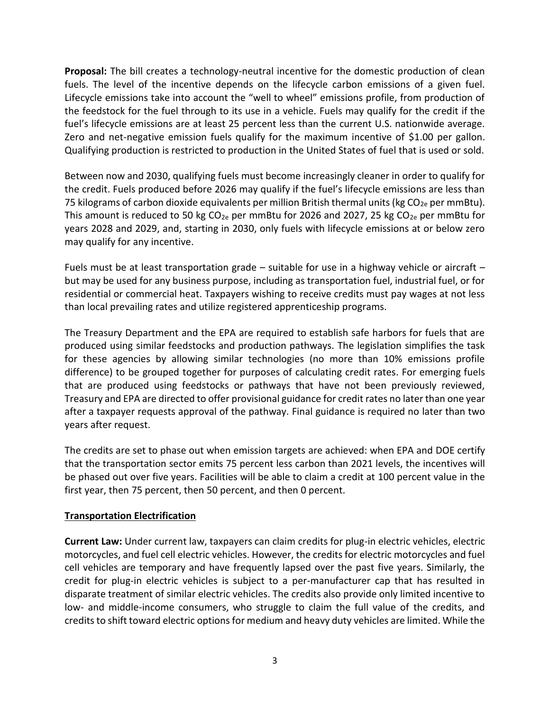**Proposal:** The bill creates a technology-neutral incentive for the domestic production of clean fuels. The level of the incentive depends on the lifecycle carbon emissions of a given fuel. Lifecycle emissions take into account the "well to wheel" emissions profile, from production of the feedstock for the fuel through to its use in a vehicle. Fuels may qualify for the credit if the fuel's lifecycle emissions are at least 25 percent less than the current U.S. nationwide average. Zero and net-negative emission fuels qualify for the maximum incentive of \$1.00 per gallon. Qualifying production is restricted to production in the United States of fuel that is used or sold.

Between now and 2030, qualifying fuels must become increasingly cleaner in order to qualify for the credit. Fuels produced before 2026 may qualify if the fuel's lifecycle emissions are less than 75 kilograms of carbon dioxide equivalents per million British thermal units (kg  $CO_{2e}$  per mmBtu). This amount is reduced to 50 kg  $CO_{2e}$  per mmBtu for 2026 and 2027, 25 kg  $CO_{2e}$  per mmBtu for years 2028 and 2029, and, starting in 2030, only fuels with lifecycle emissions at or below zero may qualify for any incentive.

Fuels must be at least transportation grade – suitable for use in a highway vehicle or aircraft – but may be used for any business purpose, including as transportation fuel, industrial fuel, or for residential or commercial heat. Taxpayers wishing to receive credits must pay wages at not less than local prevailing rates and utilize registered apprenticeship programs.

The Treasury Department and the EPA are required to establish safe harbors for fuels that are produced using similar feedstocks and production pathways. The legislation simplifies the task for these agencies by allowing similar technologies (no more than 10% emissions profile difference) to be grouped together for purposes of calculating credit rates. For emerging fuels that are produced using feedstocks or pathways that have not been previously reviewed, Treasury and EPA are directed to offer provisional guidance for credit rates no later than one year after a taxpayer requests approval of the pathway. Final guidance is required no later than two years after request.

The credits are set to phase out when emission targets are achieved: when EPA and DOE certify that the transportation sector emits 75 percent less carbon than 2021 levels, the incentives will be phased out over five years. Facilities will be able to claim a credit at 100 percent value in the first year, then 75 percent, then 50 percent, and then 0 percent.

### **Transportation Electrification**

**Current Law:** Under current law, taxpayers can claim credits for plug-in electric vehicles, electric motorcycles, and fuel cell electric vehicles. However, the credits for electric motorcycles and fuel cell vehicles are temporary and have frequently lapsed over the past five years. Similarly, the credit for plug-in electric vehicles is subject to a per-manufacturer cap that has resulted in disparate treatment of similar electric vehicles. The credits also provide only limited incentive to low- and middle-income consumers, who struggle to claim the full value of the credits, and credits to shift toward electric options for medium and heavy duty vehicles are limited. While the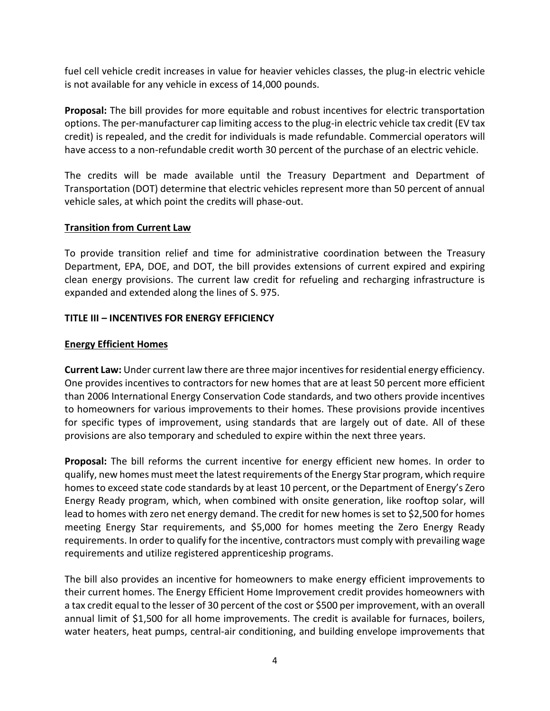fuel cell vehicle credit increases in value for heavier vehicles classes, the plug-in electric vehicle is not available for any vehicle in excess of 14,000 pounds.

**Proposal:** The bill provides for more equitable and robust incentives for electric transportation options. The per-manufacturer cap limiting access to the plug-in electric vehicle tax credit (EV tax credit) is repealed, and the credit for individuals is made refundable. Commercial operators will have access to a non-refundable credit worth 30 percent of the purchase of an electric vehicle.

The credits will be made available until the Treasury Department and Department of Transportation (DOT) determine that electric vehicles represent more than 50 percent of annual vehicle sales, at which point the credits will phase-out.

## **Transition from Current Law**

To provide transition relief and time for administrative coordination between the Treasury Department, EPA, DOE, and DOT, the bill provides extensions of current expired and expiring clean energy provisions. The current law credit for refueling and recharging infrastructure is expanded and extended along the lines of S. 975.

## **TITLE III – INCENTIVES FOR ENERGY EFFICIENCY**

## **Energy Efficient Homes**

**Current Law:** Under current law there are three major incentives for residential energy efficiency. One provides incentives to contractors for new homes that are at least 50 percent more efficient than 2006 International Energy Conservation Code standards, and two others provide incentives to homeowners for various improvements to their homes. These provisions provide incentives for specific types of improvement, using standards that are largely out of date. All of these provisions are also temporary and scheduled to expire within the next three years.

**Proposal:** The bill reforms the current incentive for energy efficient new homes. In order to qualify, new homes must meet the latest requirements of the Energy Star program, which require homes to exceed state code standards by at least 10 percent, or the Department of Energy's Zero Energy Ready program, which, when combined with onsite generation, like rooftop solar, will lead to homes with zero net energy demand. The credit for new homes is set to \$2,500 for homes meeting Energy Star requirements, and \$5,000 for homes meeting the Zero Energy Ready requirements. In order to qualify for the incentive, contractors must comply with prevailing wage requirements and utilize registered apprenticeship programs.

The bill also provides an incentive for homeowners to make energy efficient improvements to their current homes. The Energy Efficient Home Improvement credit provides homeowners with a tax credit equal to the lesser of 30 percent of the cost or \$500 per improvement, with an overall annual limit of \$1,500 for all home improvements. The credit is available for furnaces, boilers, water heaters, heat pumps, central-air conditioning, and building envelope improvements that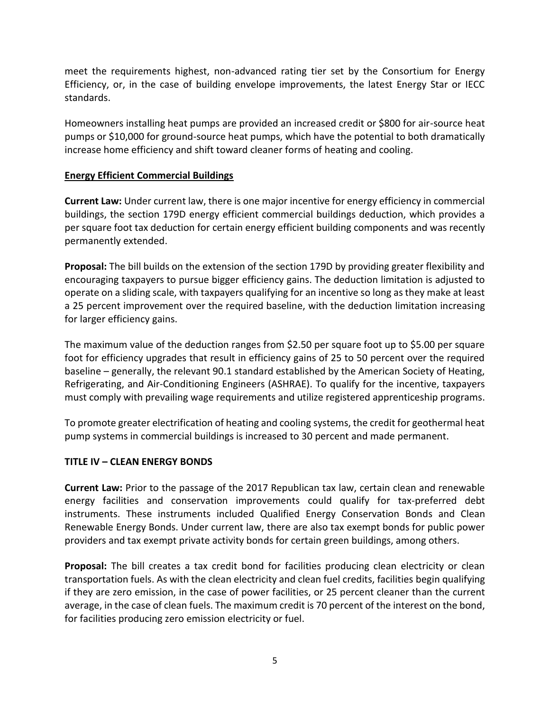meet the requirements highest, non-advanced rating tier set by the Consortium for Energy Efficiency, or, in the case of building envelope improvements, the latest Energy Star or IECC standards.

Homeowners installing heat pumps are provided an increased credit or \$800 for air-source heat pumps or \$10,000 for ground-source heat pumps, which have the potential to both dramatically increase home efficiency and shift toward cleaner forms of heating and cooling.

## **Energy Efficient Commercial Buildings**

**Current Law:** Under current law, there is one major incentive for energy efficiency in commercial buildings, the section 179D energy efficient commercial buildings deduction, which provides a per square foot tax deduction for certain energy efficient building components and was recently permanently extended.

**Proposal:** The bill builds on the extension of the section 179D by providing greater flexibility and encouraging taxpayers to pursue bigger efficiency gains. The deduction limitation is adjusted to operate on a sliding scale, with taxpayers qualifying for an incentive so long as they make at least a 25 percent improvement over the required baseline, with the deduction limitation increasing for larger efficiency gains.

The maximum value of the deduction ranges from \$2.50 per square foot up to \$5.00 per square foot for efficiency upgrades that result in efficiency gains of 25 to 50 percent over the required baseline – generally, the relevant 90.1 standard established by the American Society of Heating, Refrigerating, and Air-Conditioning Engineers (ASHRAE). To qualify for the incentive, taxpayers must comply with prevailing wage requirements and utilize registered apprenticeship programs.

To promote greater electrification of heating and cooling systems, the credit for geothermal heat pump systems in commercial buildings is increased to 30 percent and made permanent.

## **TITLE IV – CLEAN ENERGY BONDS**

**Current Law:** Prior to the passage of the 2017 Republican tax law, certain clean and renewable energy facilities and conservation improvements could qualify for tax-preferred debt instruments. These instruments included Qualified Energy Conservation Bonds and Clean Renewable Energy Bonds. Under current law, there are also tax exempt bonds for public power providers and tax exempt private activity bonds for certain green buildings, among others.

**Proposal:** The bill creates a tax credit bond for facilities producing clean electricity or clean transportation fuels. As with the clean electricity and clean fuel credits, facilities begin qualifying if they are zero emission, in the case of power facilities, or 25 percent cleaner than the current average, in the case of clean fuels. The maximum credit is 70 percent of the interest on the bond, for facilities producing zero emission electricity or fuel.